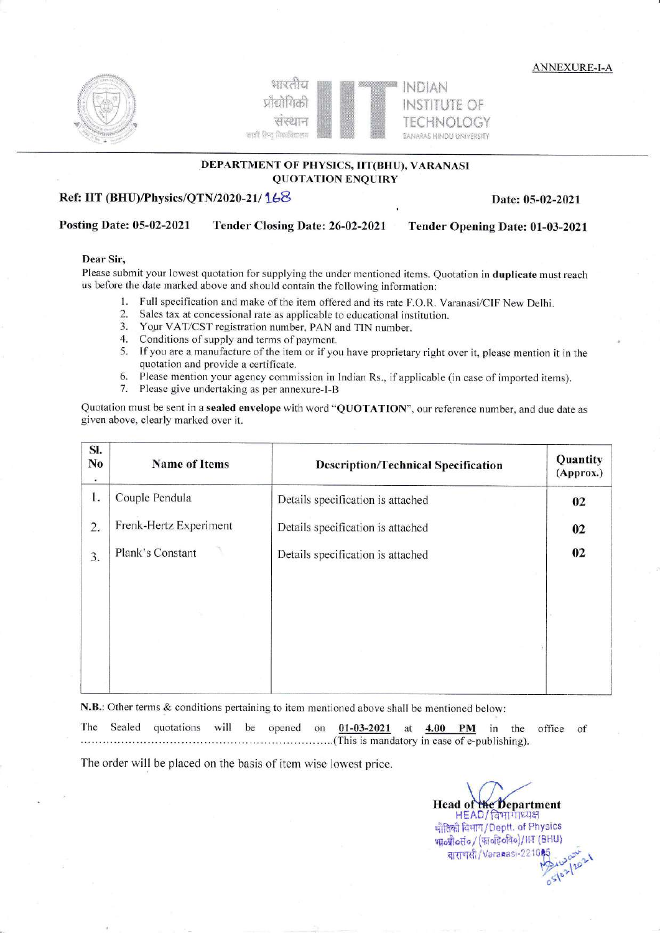**ANNEXURE-I-A** 





# DEPARTMENT OF PHYSICS, IIT(BHU), VARANASI **QUOTATION ENQUIRY**

#### Ref: IIT (BHU)/Physics/QTN/2020-21/168

Date: 05-02-2021

#### Posting Date: 05-02-2021 Tender Closing Date: 26-02-2021 Tender Opening Date: 01-03-2021

#### Dear Sir.

Please submit your lowest quotation for supplying the under mentioned items. Quotation in duplicate must reach us before the date marked above and should contain the following information:

- Full specification and make of the item offered and its rate F.O.R. Varanasi/CIF New Delhi.  $\mathbf{1}$ .
- $2.$ Sales tax at concessional rate as applicable to educational institution.
- $3.$ Your VAT/CST registration number, PAN and TIN number.
- $4.$ Conditions of supply and terms of payment.
- If you are a manufacture of the item or if you have proprietary right over it, please mention it in the 5. quotation and provide a certificate.
- Please mention your agency commission in Indian Rs., if applicable (in case of imported items). 6.
- 7. Please give undertaking as per annexure-I-B

Quotation must be sent in a sealed envelope with word "QUOTATION", our reference number, and due date as given above, clearly marked over it.

| SI.<br>No<br>۰ | <b>Name of Items</b><br><b>Description/Technical Specification</b> |                                   | Quantity<br>(Approx.) |  |
|----------------|--------------------------------------------------------------------|-----------------------------------|-----------------------|--|
| 1.             | Couple Pendula                                                     | Details specification is attached | 02                    |  |
| 2.             | Frenk-Hertz Experiment                                             | Details specification is attached | 02                    |  |
| 3.             | Plank's Constant                                                   | Details specification is attached | 02                    |  |
|                |                                                                    |                                   |                       |  |
|                |                                                                    |                                   |                       |  |
|                |                                                                    |                                   |                       |  |
|                |                                                                    |                                   |                       |  |
|                |                                                                    |                                   |                       |  |

N.B.: Other terms & conditions pertaining to item mentioned above shall be mentioned below:

The Sealed quotations will be opened on 01-03-2021 at 4.00 **PM** in the office of (This is mandatory in case of e-publishing).

The order will be placed on the basis of item wise lowest price.

Head of the Department HEAD/विभागाध्यक्ष भौतिकी विभाग/Deptt. of Physics भावप्रोव्हें / (कावरिवरिव)/HT (BHU) वाराणसी/Varanasi-221005  $5102120$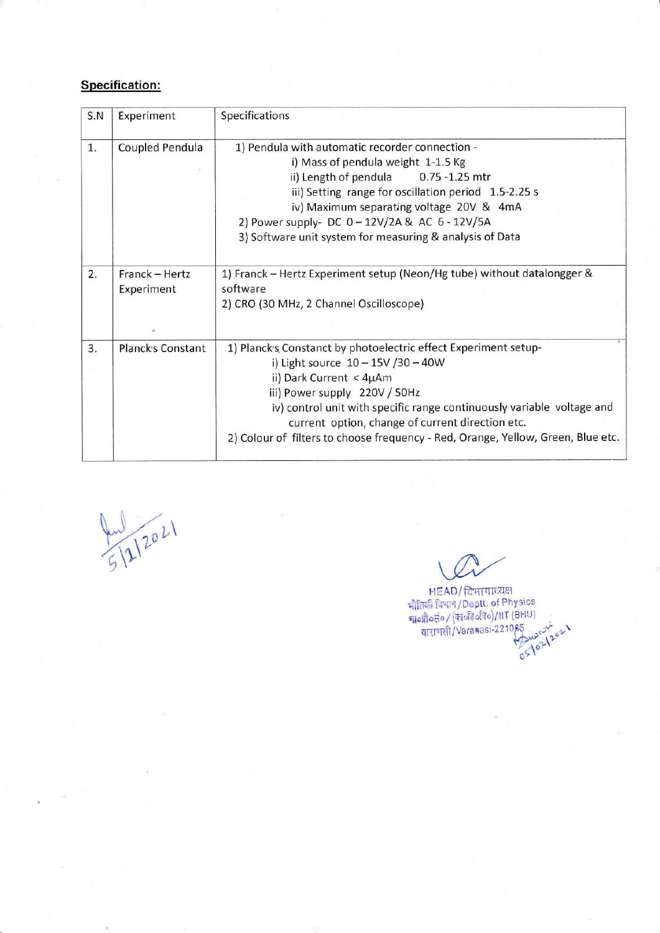# Specification:

| S.N | Experiment                   | Specifications                                                                                                                                                                                                                                                                                                                                                                         |
|-----|------------------------------|----------------------------------------------------------------------------------------------------------------------------------------------------------------------------------------------------------------------------------------------------------------------------------------------------------------------------------------------------------------------------------------|
| 1.  | Coupled Pendula              | 1) Pendula with automatic recorder connection -<br>i) Mass of pendula weight 1-1.5 Kg<br>ii) Length of pendula<br>$0.75 - 1.25$ mtr<br>iii) Setting range for oscillation period 1.5-2.25 s<br>iv) Maximum separating voltage 20V & 4mA<br>2) Power supply- DC 0 - 12V/2A & AC 6 - 12V/5A<br>3) Software unit system for measuring & analysis of Data                                  |
| 2.  | Franck - Hertz<br>Experiment | 1) Franck - Hertz Experiment setup (Neon/Hg tube) without datalongger &<br>software<br>2) CRO (30 MHz, 2 Channel Oscilloscope)                                                                                                                                                                                                                                                         |
| 3.  | <b>Planck's Constant</b>     | 1) Planck's Constanct by photoelectric effect Experiment setup-<br>i) Light source $10 - 15V / 30 - 40W$<br>ii) Dark Current < 4µAm<br>iii) Power supply 220V / 50Hz<br>iv) control unit with specific range continuously variable voltage and<br>current option, change of current direction etc.<br>2) Colour of filters to choose frequency - Red, Orange, Yellow, Green, Blue etc. |

 $\mathcal{V}$  $2^{\circ}$ 

HEAD/दिभागाध्यक्ष भौतिकी विभाग/Deptt. of Physics  $q_{\rm H}$ que de l'Architecte / rue de l'architecte de l'architecte de l'architecte de l'architecte de l'architecte de l'<br>1021 2021 de l'Architecte de l'Architecte de l'Architecte de l'Architecte de l'Architecte de l'Archit  $0\geq$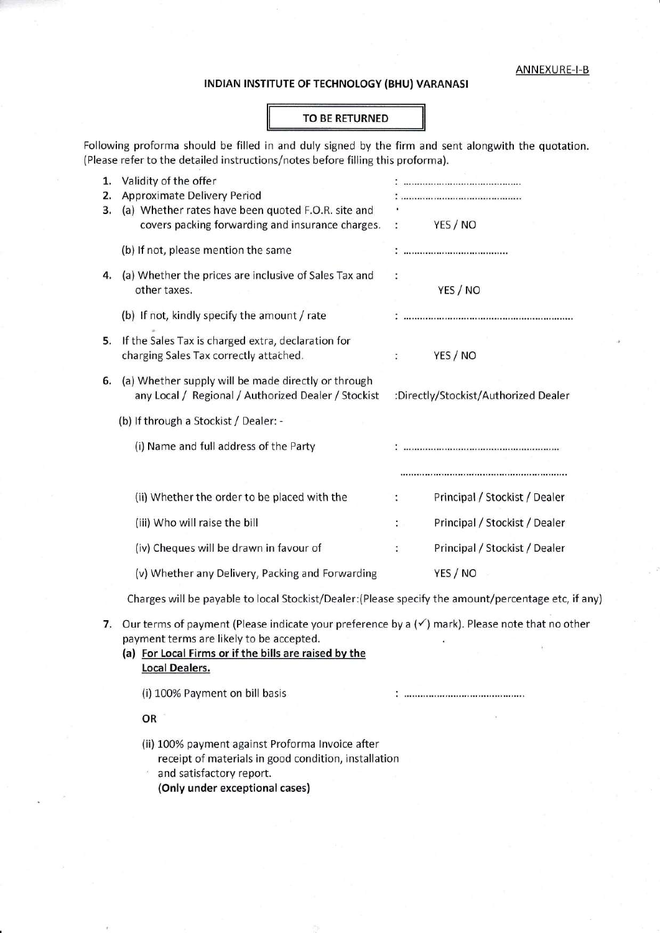### INDIAN INSTITUTE OF TECHNOLOGY (BHU) VARANASI

#### TO BE RETURNED

Following proforma should be filled in and duly signed by the firm and sent alongwith the quotation. (Please refer to the detailed instructions/notes before filling this proforma)

| 1.<br>2.<br>3. | Validity of the offer<br><b>Approximate Delivery Period</b><br>(a) Whether rates have been quoted F.O.R. site and<br>covers packing forwarding and insurance charges.                                           | $\ddot{\cdot}$                       | YES / NO                      |
|----------------|-----------------------------------------------------------------------------------------------------------------------------------------------------------------------------------------------------------------|--------------------------------------|-------------------------------|
|                | (b) If not, please mention the same                                                                                                                                                                             |                                      |                               |
| 4.             | (a) Whether the prices are inclusive of Sales Tax and<br>other taxes.                                                                                                                                           | ÷                                    | YES / NO                      |
|                | (b) If not, kindly specify the amount / rate                                                                                                                                                                    |                                      |                               |
| 5.             | If the Sales Tax is charged extra, declaration for<br>charging Sales Tax correctly attached.                                                                                                                    |                                      | YES / NO                      |
| 6.             | (a) Whether supply will be made directly or through<br>any Local / Regional / Authorized Dealer / Stockist                                                                                                      | :Directly/Stockist/Authorized Dealer |                               |
|                | (b) If through a Stockist / Dealer: -                                                                                                                                                                           |                                      |                               |
|                | (i) Name and full address of the Party                                                                                                                                                                          |                                      |                               |
|                |                                                                                                                                                                                                                 |                                      |                               |
|                | (ii) Whether the order to be placed with the                                                                                                                                                                    | $\ddot{\cdot}$                       | Principal / Stockist / Dealer |
|                | (iii) Who will raise the bill                                                                                                                                                                                   | t,                                   | Principal / Stockist / Dealer |
|                | (iv) Cheques will be drawn in favour of                                                                                                                                                                         | ÷                                    | Principal / Stockist / Dealer |
|                | (v) Whether any Delivery, Packing and Forwarding                                                                                                                                                                |                                      | YES / NO                      |
|                | Charges will be payable to local Stockist/Dealer: (Please specify the amount/percentage etc, if any)                                                                                                            |                                      |                               |
| 7.             | Our terms of payment (Please indicate your preference by a $(\checkmark)$ mark). Please note that no other<br>payment terms are likely to be accepted.<br>(a) For Local Firms or if the bills are raised by the |                                      |                               |

Local Dealers.

(i) 100% Payment on bill basis

#### OR

(ii) 100% payment against Proforma lnvoice after receipt of materials in good condition, installation ' and satisfactory report.

(Only under exceptional cases)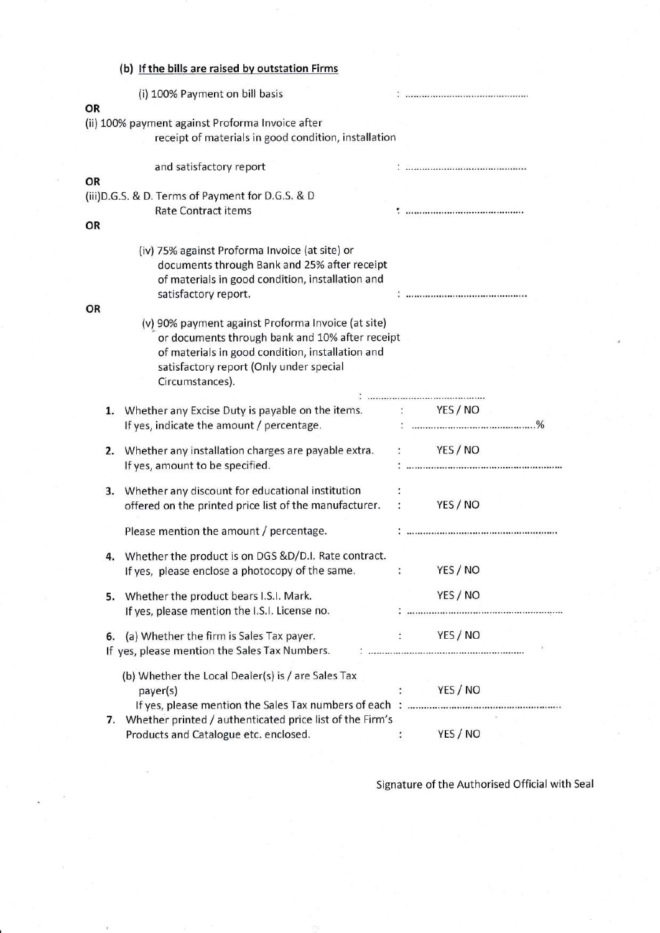|    | (b) If the bills are raised by outstation Firms                                                                                                                                                                         |                |                           |
|----|-------------------------------------------------------------------------------------------------------------------------------------------------------------------------------------------------------------------------|----------------|---------------------------|
| OR | (i) 100% Payment on bill basis                                                                                                                                                                                          |                |                           |
|    | (ii) 100% payment against Proforma Invoice after<br>receipt of materials in good condition, installation                                                                                                                |                |                           |
|    | and satisfactory report                                                                                                                                                                                                 |                |                           |
| OR |                                                                                                                                                                                                                         |                |                           |
|    | (iii) D.G.S. & D. Terms of Payment for D.G.S. & D<br><b>Rate Contract items</b>                                                                                                                                         |                |                           |
| OR |                                                                                                                                                                                                                         |                |                           |
|    | (iv) 75% against Proforma Invoice (at site) or<br>documents through Bank and 25% after receipt<br>of materials in good condition, installation and<br>satisfactory report.                                              |                |                           |
| OR |                                                                                                                                                                                                                         |                |                           |
|    | (v) 90% payment against Proforma Invoice (at site)<br>or documents through bank and 10% after receipt<br>of materials in good condition, installation and<br>satisfactory report (Only under special<br>Circumstances). |                |                           |
| 1. | Whether any Excise Duty is payable on the items. : YES / NO                                                                                                                                                             |                |                           |
|    | If yes, indicate the amount / percentage.                                                                                                                                                                               |                | <u>: ………………………………………%</u> |
| 2. | Whether any installation charges are payable extra. :<br>If yes, amount to be specified.                                                                                                                                |                | YES / NO                  |
| 3. | Whether any discount for educational institution<br>offered on the printed price list of the manufacturer.                                                                                                              |                | YES/NO                    |
|    | Please mention the amount / percentage.                                                                                                                                                                                 |                |                           |
|    | 4. Whether the product is on DGS &D/D.I. Rate contract.<br>If yes, please enclose a photocopy of the same.                                                                                                              | ÷              | YES / NO                  |
| 5. | Whether the product bears I.S.I. Mark.<br>If yes, please mention the I.S.I. License no.                                                                                                                                 |                | YES / NO                  |
| 6. | (a) Whether the firm is Sales Tax payer.<br>If yes, please mention the Sales Tax Numbers.                                                                                                                               |                | YES / NO                  |
|    | (b) Whether the Local Dealer(s) is / are Sales Tax<br>payer(s)                                                                                                                                                          |                | YES / NO                  |
|    | 7. Whether printed / authenticated price list of the Firm's<br>Products and Catalogue etc. enclosed.                                                                                                                    | $\ddot{\cdot}$ | YES / NO                  |

Signature of the Authorised Official with Seal